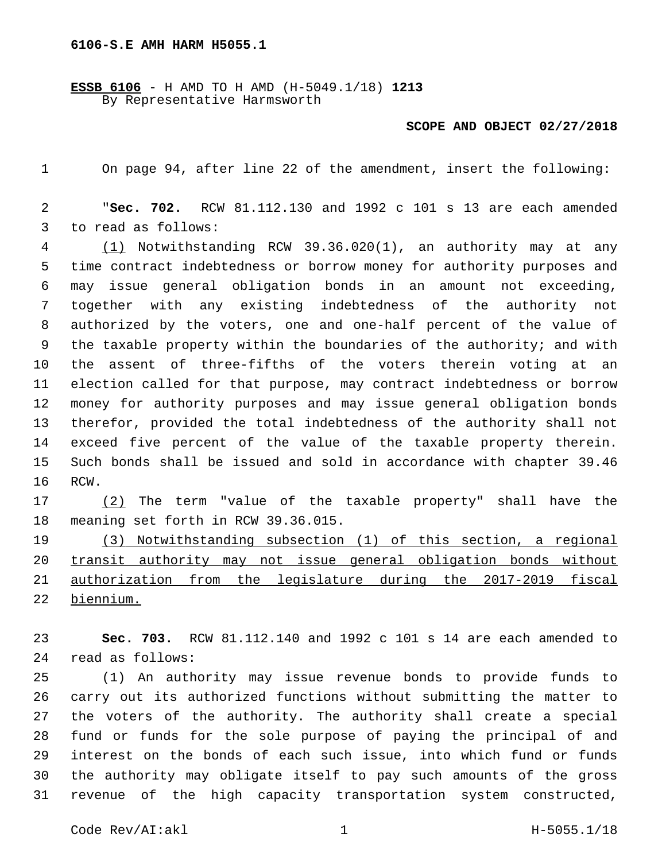## **6106-S.E AMH HARM H5055.1**

**ESSB 6106** - H AMD TO H AMD (H-5049.1/18) **1213** By Representative Harmsworth

## **SCOPE AND OBJECT 02/27/2018**

On page 94, after line 22 of the amendment, insert the following:

 "**Sec. 702.** RCW 81.112.130 and 1992 c 101 s 13 are each amended 3 to read as follows:

 (1) Notwithstanding RCW 39.36.020(1), an authority may at any time contract indebtedness or borrow money for authority purposes and may issue general obligation bonds in an amount not exceeding, together with any existing indebtedness of the authority not authorized by the voters, one and one-half percent of the value of the taxable property within the boundaries of the authority; and with the assent of three-fifths of the voters therein voting at an election called for that purpose, may contract indebtedness or borrow money for authority purposes and may issue general obligation bonds therefor, provided the total indebtedness of the authority shall not exceed five percent of the value of the taxable property therein. Such bonds shall be issued and sold in accordance with chapter 39.46 16 RCW.

 (2) The term "value of the taxable property" shall have the 18 meaning set forth in RCW 39.36.015.

 (3) Notwithstanding subsection (1) of this section, a regional transit authority may not issue general obligation bonds without authorization from the legislature during the 2017-2019 fiscal biennium.

 **Sec. 703.** RCW 81.112.140 and 1992 c 101 s 14 are each amended to read as follows:24

 (1) An authority may issue revenue bonds to provide funds to carry out its authorized functions without submitting the matter to the voters of the authority. The authority shall create a special fund or funds for the sole purpose of paying the principal of and interest on the bonds of each such issue, into which fund or funds the authority may obligate itself to pay such amounts of the gross revenue of the high capacity transportation system constructed,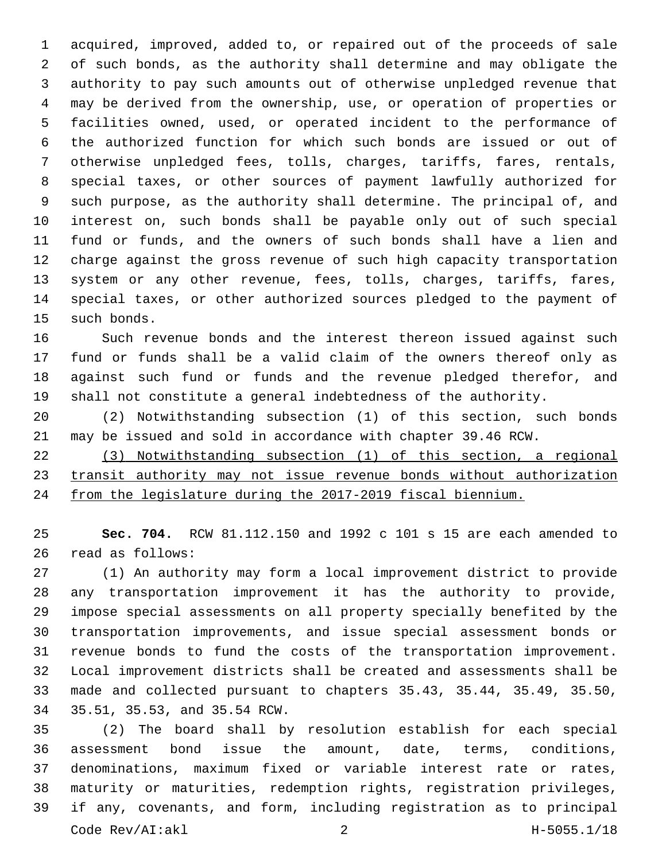acquired, improved, added to, or repaired out of the proceeds of sale of such bonds, as the authority shall determine and may obligate the authority to pay such amounts out of otherwise unpledged revenue that may be derived from the ownership, use, or operation of properties or facilities owned, used, or operated incident to the performance of the authorized function for which such bonds are issued or out of otherwise unpledged fees, tolls, charges, tariffs, fares, rentals, special taxes, or other sources of payment lawfully authorized for such purpose, as the authority shall determine. The principal of, and interest on, such bonds shall be payable only out of such special fund or funds, and the owners of such bonds shall have a lien and charge against the gross revenue of such high capacity transportation system or any other revenue, fees, tolls, charges, tariffs, fares, special taxes, or other authorized sources pledged to the payment of 15 such bonds.

 Such revenue bonds and the interest thereon issued against such fund or funds shall be a valid claim of the owners thereof only as against such fund or funds and the revenue pledged therefor, and shall not constitute a general indebtedness of the authority.

 (2) Notwithstanding subsection (1) of this section, such bonds may be issued and sold in accordance with chapter 39.46 RCW.

 (3) Notwithstanding subsection (1) of this section, a regional transit authority may not issue revenue bonds without authorization from the legislature during the 2017-2019 fiscal biennium.

 **Sec. 704.** RCW 81.112.150 and 1992 c 101 s 15 are each amended to read as follows:26

 (1) An authority may form a local improvement district to provide any transportation improvement it has the authority to provide, impose special assessments on all property specially benefited by the transportation improvements, and issue special assessment bonds or revenue bonds to fund the costs of the transportation improvement. Local improvement districts shall be created and assessments shall be made and collected pursuant to chapters 35.43, 35.44, 35.49, 35.50, 34 35.51, 35.53, and 35.54 RCW.

 (2) The board shall by resolution establish for each special assessment bond issue the amount, date, terms, conditions, denominations, maximum fixed or variable interest rate or rates, maturity or maturities, redemption rights, registration privileges, if any, covenants, and form, including registration as to principal Code Rev/AI:akl 2 H-5055.1/18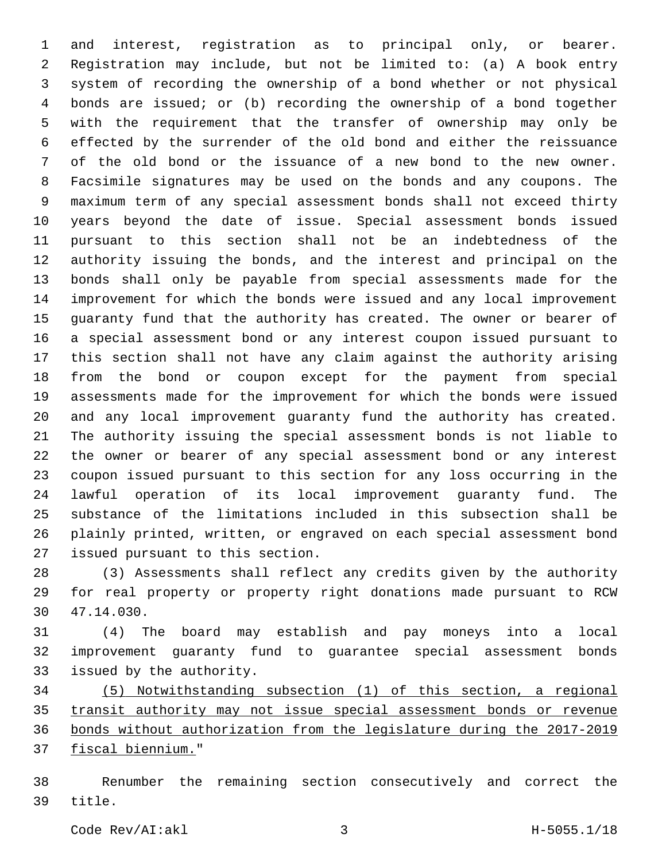and interest, registration as to principal only, or bearer. Registration may include, but not be limited to: (a) A book entry system of recording the ownership of a bond whether or not physical bonds are issued; or (b) recording the ownership of a bond together with the requirement that the transfer of ownership may only be effected by the surrender of the old bond and either the reissuance of the old bond or the issuance of a new bond to the new owner. Facsimile signatures may be used on the bonds and any coupons. The maximum term of any special assessment bonds shall not exceed thirty years beyond the date of issue. Special assessment bonds issued pursuant to this section shall not be an indebtedness of the authority issuing the bonds, and the interest and principal on the bonds shall only be payable from special assessments made for the improvement for which the bonds were issued and any local improvement guaranty fund that the authority has created. The owner or bearer of a special assessment bond or any interest coupon issued pursuant to this section shall not have any claim against the authority arising from the bond or coupon except for the payment from special assessments made for the improvement for which the bonds were issued and any local improvement guaranty fund the authority has created. The authority issuing the special assessment bonds is not liable to the owner or bearer of any special assessment bond or any interest coupon issued pursuant to this section for any loss occurring in the lawful operation of its local improvement guaranty fund. The substance of the limitations included in this subsection shall be plainly printed, written, or engraved on each special assessment bond 27 issued pursuant to this section.

 (3) Assessments shall reflect any credits given by the authority for real property or property right donations made pursuant to RCW 47.14.030.30

 (4) The board may establish and pay moneys into a local improvement guaranty fund to guarantee special assessment bonds 33 issued by the authority.

 (5) Notwithstanding subsection (1) of this section, a regional transit authority may not issue special assessment bonds or revenue bonds without authorization from the legislature during the 2017-2019 37 fiscal biennium."

 Renumber the remaining section consecutively and correct the 39 title.